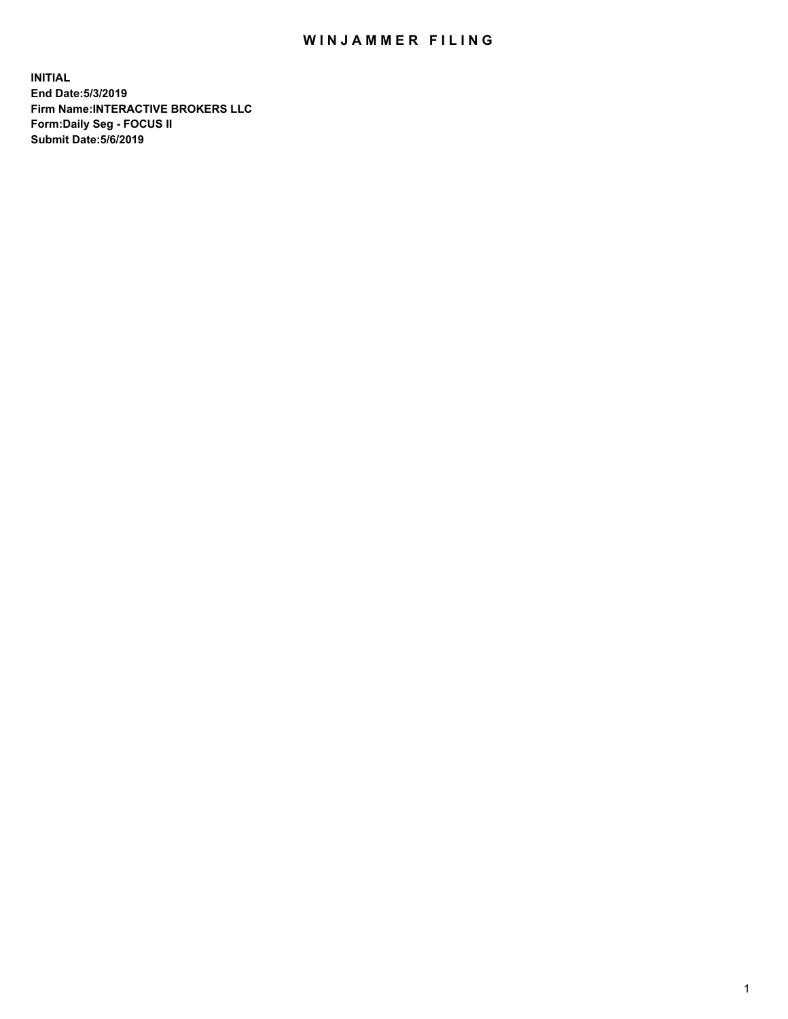## WIN JAMMER FILING

**INITIAL End Date:5/3/2019 Firm Name:INTERACTIVE BROKERS LLC Form:Daily Seg - FOCUS II Submit Date:5/6/2019**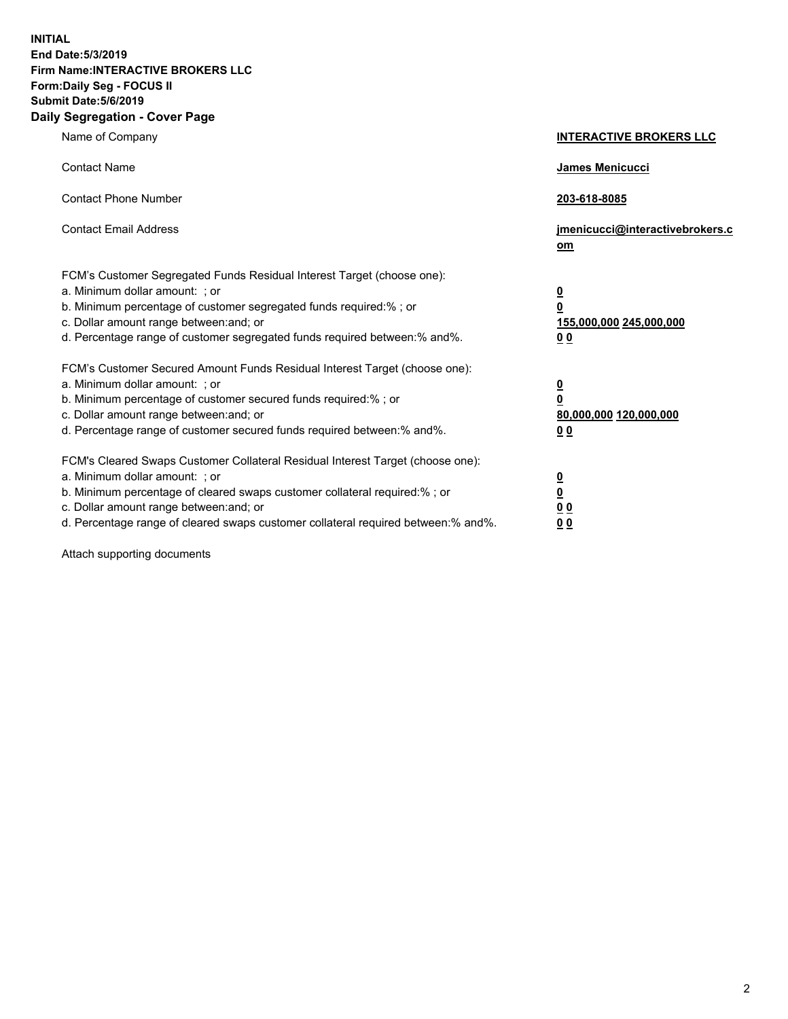**INITIAL End Date:5/3/2019 Firm Name:INTERACTIVE BROKERS LLC Form:Daily Seg - FOCUS II Submit Date:5/6/2019 Daily Segregation - Cover Page**

| Name of Company                                                                                                                                                                                                                                                                                                                | <b>INTERACTIVE BROKERS LLC</b>                                                      |
|--------------------------------------------------------------------------------------------------------------------------------------------------------------------------------------------------------------------------------------------------------------------------------------------------------------------------------|-------------------------------------------------------------------------------------|
| <b>Contact Name</b>                                                                                                                                                                                                                                                                                                            | James Menicucci                                                                     |
| <b>Contact Phone Number</b>                                                                                                                                                                                                                                                                                                    | 203-618-8085                                                                        |
| <b>Contact Email Address</b>                                                                                                                                                                                                                                                                                                   | jmenicucci@interactivebrokers.c<br>om                                               |
| FCM's Customer Segregated Funds Residual Interest Target (choose one):<br>a. Minimum dollar amount: : or<br>b. Minimum percentage of customer segregated funds required:% ; or<br>c. Dollar amount range between: and; or<br>d. Percentage range of customer segregated funds required between:% and%.                         | $\overline{\mathbf{0}}$<br>$\overline{\mathbf{0}}$<br>155,000,000 245,000,000<br>00 |
| FCM's Customer Secured Amount Funds Residual Interest Target (choose one):<br>a. Minimum dollar amount: ; or<br>b. Minimum percentage of customer secured funds required:% ; or<br>c. Dollar amount range between: and; or<br>d. Percentage range of customer secured funds required between:% and%.                           | $\overline{\mathbf{0}}$<br>0<br>80,000,000 120,000,000<br>0 <sub>0</sub>            |
| FCM's Cleared Swaps Customer Collateral Residual Interest Target (choose one):<br>a. Minimum dollar amount: ; or<br>b. Minimum percentage of cleared swaps customer collateral required:% ; or<br>c. Dollar amount range between: and; or<br>d. Percentage range of cleared swaps customer collateral required between:% and%. | <u>0</u><br><u>0</u><br>0 <sub>0</sub><br>0 <sub>0</sub>                            |

Attach supporting documents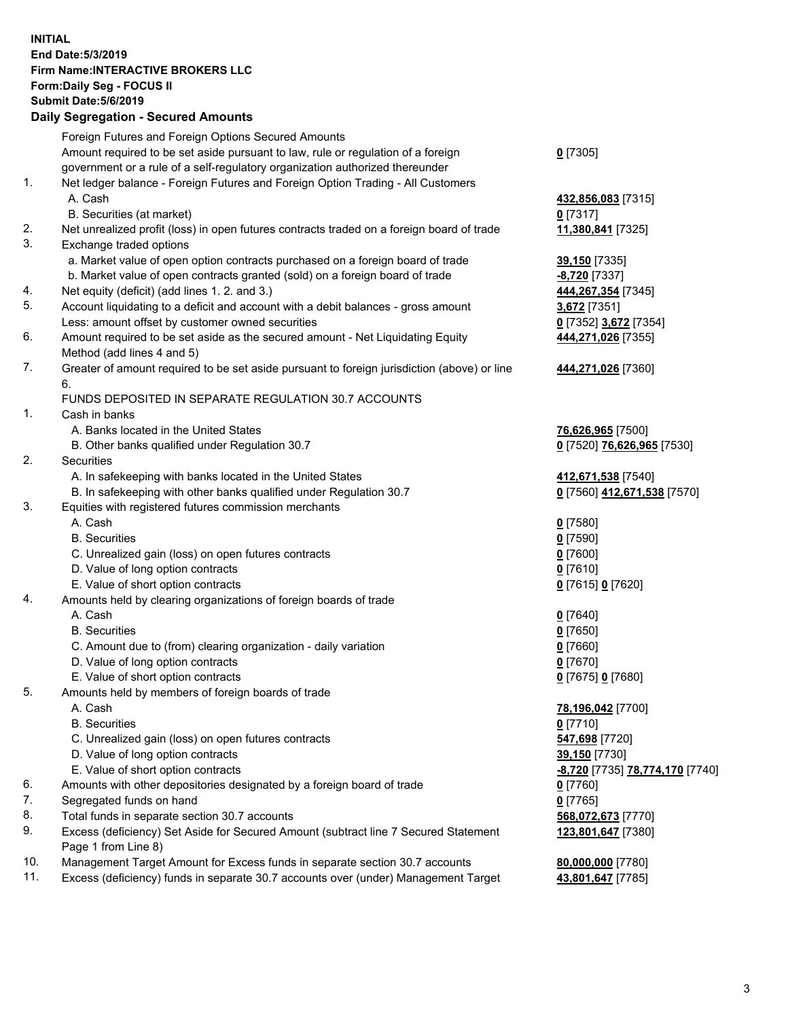## **INITIAL End Date:5/3/2019 Firm Name:INTERACTIVE BROKERS LLC Form:Daily Seg - FOCUS II Submit Date:5/6/2019 Daily Segregation - Secured Amounts**

| Foreign Futures and Foreign Options Secured Amounts                                         |                                                                                                                                                                                                                                                                                                                                                                                                                                                                                                                                                                                                                                                                                                                                                                                                                                                                                                                                                                                                                                                                                                                                                                                                                                                                                  |
|---------------------------------------------------------------------------------------------|----------------------------------------------------------------------------------------------------------------------------------------------------------------------------------------------------------------------------------------------------------------------------------------------------------------------------------------------------------------------------------------------------------------------------------------------------------------------------------------------------------------------------------------------------------------------------------------------------------------------------------------------------------------------------------------------------------------------------------------------------------------------------------------------------------------------------------------------------------------------------------------------------------------------------------------------------------------------------------------------------------------------------------------------------------------------------------------------------------------------------------------------------------------------------------------------------------------------------------------------------------------------------------|
| Amount required to be set aside pursuant to law, rule or regulation of a foreign            | $0$ [7305]                                                                                                                                                                                                                                                                                                                                                                                                                                                                                                                                                                                                                                                                                                                                                                                                                                                                                                                                                                                                                                                                                                                                                                                                                                                                       |
| government or a rule of a self-regulatory organization authorized thereunder                |                                                                                                                                                                                                                                                                                                                                                                                                                                                                                                                                                                                                                                                                                                                                                                                                                                                                                                                                                                                                                                                                                                                                                                                                                                                                                  |
| Net ledger balance - Foreign Futures and Foreign Option Trading - All Customers             |                                                                                                                                                                                                                                                                                                                                                                                                                                                                                                                                                                                                                                                                                                                                                                                                                                                                                                                                                                                                                                                                                                                                                                                                                                                                                  |
| A. Cash                                                                                     | 432,856,083 [7315]                                                                                                                                                                                                                                                                                                                                                                                                                                                                                                                                                                                                                                                                                                                                                                                                                                                                                                                                                                                                                                                                                                                                                                                                                                                               |
| B. Securities (at market)                                                                   | 0 [7317]                                                                                                                                                                                                                                                                                                                                                                                                                                                                                                                                                                                                                                                                                                                                                                                                                                                                                                                                                                                                                                                                                                                                                                                                                                                                         |
| Net unrealized profit (loss) in open futures contracts traded on a foreign board of trade   | 11,380,841 [7325]                                                                                                                                                                                                                                                                                                                                                                                                                                                                                                                                                                                                                                                                                                                                                                                                                                                                                                                                                                                                                                                                                                                                                                                                                                                                |
| Exchange traded options                                                                     |                                                                                                                                                                                                                                                                                                                                                                                                                                                                                                                                                                                                                                                                                                                                                                                                                                                                                                                                                                                                                                                                                                                                                                                                                                                                                  |
| a. Market value of open option contracts purchased on a foreign board of trade              | 39,150 [7335]                                                                                                                                                                                                                                                                                                                                                                                                                                                                                                                                                                                                                                                                                                                                                                                                                                                                                                                                                                                                                                                                                                                                                                                                                                                                    |
| b. Market value of open contracts granted (sold) on a foreign board of trade                | -8,720 [7337]                                                                                                                                                                                                                                                                                                                                                                                                                                                                                                                                                                                                                                                                                                                                                                                                                                                                                                                                                                                                                                                                                                                                                                                                                                                                    |
|                                                                                             | 444,267,354 [7345]                                                                                                                                                                                                                                                                                                                                                                                                                                                                                                                                                                                                                                                                                                                                                                                                                                                                                                                                                                                                                                                                                                                                                                                                                                                               |
| Account liquidating to a deficit and account with a debit balances - gross amount           | 3,672 [7351]                                                                                                                                                                                                                                                                                                                                                                                                                                                                                                                                                                                                                                                                                                                                                                                                                                                                                                                                                                                                                                                                                                                                                                                                                                                                     |
| Less: amount offset by customer owned securities                                            | 0 [7352] 3,672 [7354]                                                                                                                                                                                                                                                                                                                                                                                                                                                                                                                                                                                                                                                                                                                                                                                                                                                                                                                                                                                                                                                                                                                                                                                                                                                            |
| Amount required to be set aside as the secured amount - Net Liquidating Equity              | 444,271,026 [7355]                                                                                                                                                                                                                                                                                                                                                                                                                                                                                                                                                                                                                                                                                                                                                                                                                                                                                                                                                                                                                                                                                                                                                                                                                                                               |
| Method (add lines 4 and 5)                                                                  |                                                                                                                                                                                                                                                                                                                                                                                                                                                                                                                                                                                                                                                                                                                                                                                                                                                                                                                                                                                                                                                                                                                                                                                                                                                                                  |
| Greater of amount required to be set aside pursuant to foreign jurisdiction (above) or line | 444,271,026 [7360]                                                                                                                                                                                                                                                                                                                                                                                                                                                                                                                                                                                                                                                                                                                                                                                                                                                                                                                                                                                                                                                                                                                                                                                                                                                               |
| 6.                                                                                          |                                                                                                                                                                                                                                                                                                                                                                                                                                                                                                                                                                                                                                                                                                                                                                                                                                                                                                                                                                                                                                                                                                                                                                                                                                                                                  |
| FUNDS DEPOSITED IN SEPARATE REGULATION 30.7 ACCOUNTS                                        |                                                                                                                                                                                                                                                                                                                                                                                                                                                                                                                                                                                                                                                                                                                                                                                                                                                                                                                                                                                                                                                                                                                                                                                                                                                                                  |
| Cash in banks                                                                               |                                                                                                                                                                                                                                                                                                                                                                                                                                                                                                                                                                                                                                                                                                                                                                                                                                                                                                                                                                                                                                                                                                                                                                                                                                                                                  |
| A. Banks located in the United States                                                       | 76,626,965 [7500]                                                                                                                                                                                                                                                                                                                                                                                                                                                                                                                                                                                                                                                                                                                                                                                                                                                                                                                                                                                                                                                                                                                                                                                                                                                                |
| B. Other banks qualified under Regulation 30.7                                              | 0 [7520] 76,626,965 [7530]                                                                                                                                                                                                                                                                                                                                                                                                                                                                                                                                                                                                                                                                                                                                                                                                                                                                                                                                                                                                                                                                                                                                                                                                                                                       |
| Securities                                                                                  |                                                                                                                                                                                                                                                                                                                                                                                                                                                                                                                                                                                                                                                                                                                                                                                                                                                                                                                                                                                                                                                                                                                                                                                                                                                                                  |
| A. In safekeeping with banks located in the United States                                   | 412,671,538 [7540]                                                                                                                                                                                                                                                                                                                                                                                                                                                                                                                                                                                                                                                                                                                                                                                                                                                                                                                                                                                                                                                                                                                                                                                                                                                               |
|                                                                                             | 0 [7560] 412,671,538 [7570]                                                                                                                                                                                                                                                                                                                                                                                                                                                                                                                                                                                                                                                                                                                                                                                                                                                                                                                                                                                                                                                                                                                                                                                                                                                      |
|                                                                                             |                                                                                                                                                                                                                                                                                                                                                                                                                                                                                                                                                                                                                                                                                                                                                                                                                                                                                                                                                                                                                                                                                                                                                                                                                                                                                  |
| A. Cash                                                                                     | $0$ [7580]                                                                                                                                                                                                                                                                                                                                                                                                                                                                                                                                                                                                                                                                                                                                                                                                                                                                                                                                                                                                                                                                                                                                                                                                                                                                       |
| <b>B.</b> Securities                                                                        | $0$ [7590]                                                                                                                                                                                                                                                                                                                                                                                                                                                                                                                                                                                                                                                                                                                                                                                                                                                                                                                                                                                                                                                                                                                                                                                                                                                                       |
|                                                                                             | $0$ [7600]                                                                                                                                                                                                                                                                                                                                                                                                                                                                                                                                                                                                                                                                                                                                                                                                                                                                                                                                                                                                                                                                                                                                                                                                                                                                       |
|                                                                                             | $0$ [7610]                                                                                                                                                                                                                                                                                                                                                                                                                                                                                                                                                                                                                                                                                                                                                                                                                                                                                                                                                                                                                                                                                                                                                                                                                                                                       |
|                                                                                             | 0 [7615] 0 [7620]                                                                                                                                                                                                                                                                                                                                                                                                                                                                                                                                                                                                                                                                                                                                                                                                                                                                                                                                                                                                                                                                                                                                                                                                                                                                |
|                                                                                             |                                                                                                                                                                                                                                                                                                                                                                                                                                                                                                                                                                                                                                                                                                                                                                                                                                                                                                                                                                                                                                                                                                                                                                                                                                                                                  |
|                                                                                             | $0$ [7640]                                                                                                                                                                                                                                                                                                                                                                                                                                                                                                                                                                                                                                                                                                                                                                                                                                                                                                                                                                                                                                                                                                                                                                                                                                                                       |
|                                                                                             | $0$ [7650]                                                                                                                                                                                                                                                                                                                                                                                                                                                                                                                                                                                                                                                                                                                                                                                                                                                                                                                                                                                                                                                                                                                                                                                                                                                                       |
|                                                                                             | $0$ [7660]                                                                                                                                                                                                                                                                                                                                                                                                                                                                                                                                                                                                                                                                                                                                                                                                                                                                                                                                                                                                                                                                                                                                                                                                                                                                       |
|                                                                                             | $0$ [7670]                                                                                                                                                                                                                                                                                                                                                                                                                                                                                                                                                                                                                                                                                                                                                                                                                                                                                                                                                                                                                                                                                                                                                                                                                                                                       |
|                                                                                             | 0 [7675] 0 [7680]                                                                                                                                                                                                                                                                                                                                                                                                                                                                                                                                                                                                                                                                                                                                                                                                                                                                                                                                                                                                                                                                                                                                                                                                                                                                |
|                                                                                             |                                                                                                                                                                                                                                                                                                                                                                                                                                                                                                                                                                                                                                                                                                                                                                                                                                                                                                                                                                                                                                                                                                                                                                                                                                                                                  |
|                                                                                             | 78,196,042 [7700]                                                                                                                                                                                                                                                                                                                                                                                                                                                                                                                                                                                                                                                                                                                                                                                                                                                                                                                                                                                                                                                                                                                                                                                                                                                                |
|                                                                                             | $0$ [7710]                                                                                                                                                                                                                                                                                                                                                                                                                                                                                                                                                                                                                                                                                                                                                                                                                                                                                                                                                                                                                                                                                                                                                                                                                                                                       |
|                                                                                             | 547,698 [7720]                                                                                                                                                                                                                                                                                                                                                                                                                                                                                                                                                                                                                                                                                                                                                                                                                                                                                                                                                                                                                                                                                                                                                                                                                                                                   |
|                                                                                             | 39,150 [7730]                                                                                                                                                                                                                                                                                                                                                                                                                                                                                                                                                                                                                                                                                                                                                                                                                                                                                                                                                                                                                                                                                                                                                                                                                                                                    |
|                                                                                             | <mark>-8,720</mark> [7735] 78,774,170 [7740]                                                                                                                                                                                                                                                                                                                                                                                                                                                                                                                                                                                                                                                                                                                                                                                                                                                                                                                                                                                                                                                                                                                                                                                                                                     |
|                                                                                             | 0 [7760]                                                                                                                                                                                                                                                                                                                                                                                                                                                                                                                                                                                                                                                                                                                                                                                                                                                                                                                                                                                                                                                                                                                                                                                                                                                                         |
|                                                                                             | $0$ [7765]                                                                                                                                                                                                                                                                                                                                                                                                                                                                                                                                                                                                                                                                                                                                                                                                                                                                                                                                                                                                                                                                                                                                                                                                                                                                       |
|                                                                                             | 568,072,673 [7770]                                                                                                                                                                                                                                                                                                                                                                                                                                                                                                                                                                                                                                                                                                                                                                                                                                                                                                                                                                                                                                                                                                                                                                                                                                                               |
|                                                                                             | 123,801,647 [7380]                                                                                                                                                                                                                                                                                                                                                                                                                                                                                                                                                                                                                                                                                                                                                                                                                                                                                                                                                                                                                                                                                                                                                                                                                                                               |
|                                                                                             |                                                                                                                                                                                                                                                                                                                                                                                                                                                                                                                                                                                                                                                                                                                                                                                                                                                                                                                                                                                                                                                                                                                                                                                                                                                                                  |
|                                                                                             | 80,000,000 [7780]                                                                                                                                                                                                                                                                                                                                                                                                                                                                                                                                                                                                                                                                                                                                                                                                                                                                                                                                                                                                                                                                                                                                                                                                                                                                |
|                                                                                             | 43,801,647 [7785]                                                                                                                                                                                                                                                                                                                                                                                                                                                                                                                                                                                                                                                                                                                                                                                                                                                                                                                                                                                                                                                                                                                                                                                                                                                                |
|                                                                                             | Daily Jegiegation - Jeculeu Aniounts<br>Net equity (deficit) (add lines 1.2. and 3.)<br>B. In safekeeping with other banks qualified under Regulation 30.7<br>Equities with registered futures commission merchants<br>C. Unrealized gain (loss) on open futures contracts<br>D. Value of long option contracts<br>E. Value of short option contracts<br>Amounts held by clearing organizations of foreign boards of trade<br>A. Cash<br><b>B.</b> Securities<br>C. Amount due to (from) clearing organization - daily variation<br>D. Value of long option contracts<br>E. Value of short option contracts<br>Amounts held by members of foreign boards of trade<br>A. Cash<br><b>B.</b> Securities<br>C. Unrealized gain (loss) on open futures contracts<br>D. Value of long option contracts<br>E. Value of short option contracts<br>Amounts with other depositories designated by a foreign board of trade<br>Segregated funds on hand<br>Total funds in separate section 30.7 accounts<br>Excess (deficiency) Set Aside for Secured Amount (subtract line 7 Secured Statement<br>Page 1 from Line 8)<br>Management Target Amount for Excess funds in separate section 30.7 accounts<br>Excess (deficiency) funds in separate 30.7 accounts over (under) Management Target |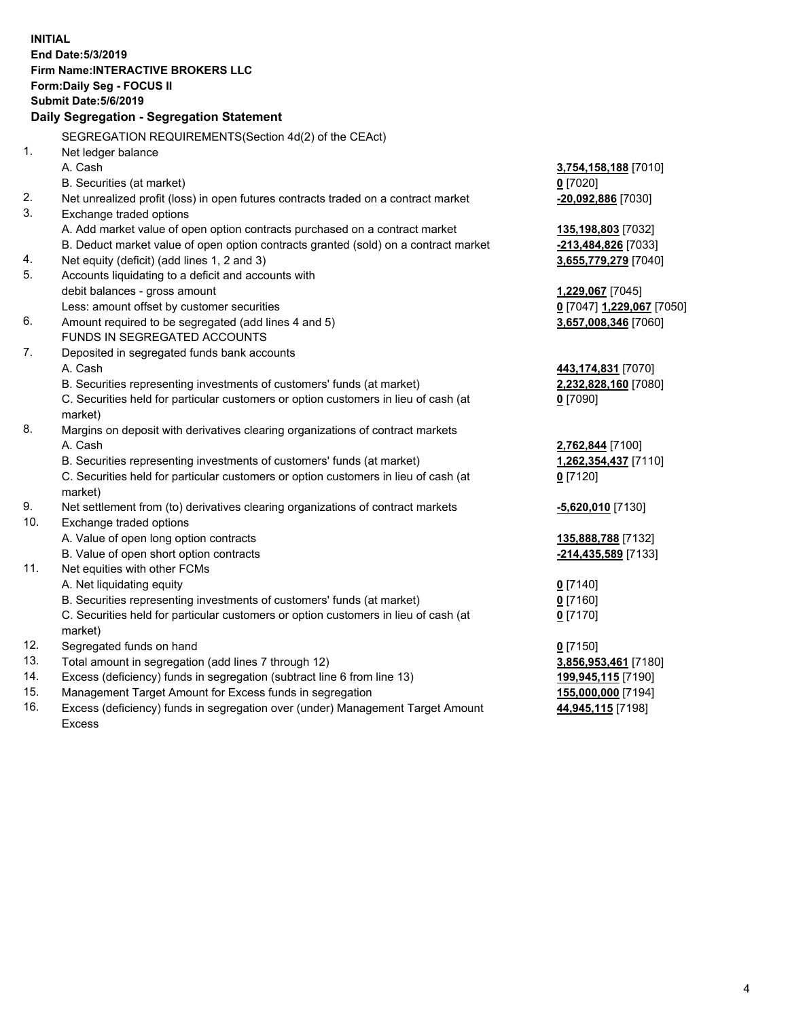| <b>INITIAL</b> |                                                                                     |                                            |
|----------------|-------------------------------------------------------------------------------------|--------------------------------------------|
|                | End Date: 5/3/2019                                                                  |                                            |
|                | <b>Firm Name: INTERACTIVE BROKERS LLC</b>                                           |                                            |
|                | Form: Daily Seg - FOCUS II                                                          |                                            |
|                | <b>Submit Date: 5/6/2019</b>                                                        |                                            |
|                | Daily Segregation - Segregation Statement                                           |                                            |
|                | SEGREGATION REQUIREMENTS(Section 4d(2) of the CEAct)                                |                                            |
| 1.             | Net ledger balance                                                                  |                                            |
|                | A. Cash                                                                             | 3,754,158,188 [7010]                       |
|                | B. Securities (at market)                                                           | $0$ [7020]                                 |
| 2.             | Net unrealized profit (loss) in open futures contracts traded on a contract market  | -20,092,886 [7030]                         |
| 3.             | Exchange traded options                                                             |                                            |
|                | A. Add market value of open option contracts purchased on a contract market         | 135,198,803 [7032]                         |
|                | B. Deduct market value of open option contracts granted (sold) on a contract market | -213,484,826 [7033]                        |
| 4.             | Net equity (deficit) (add lines 1, 2 and 3)                                         | 3,655,779,279 [7040]                       |
| 5.             | Accounts liquidating to a deficit and accounts with                                 |                                            |
|                | debit balances - gross amount                                                       | 1,229,067 [7045]                           |
|                | Less: amount offset by customer securities                                          | 0 [7047] 1,229,067 [7050]                  |
| 6.             | Amount required to be segregated (add lines 4 and 5)                                | 3,657,008,346 [7060]                       |
|                | FUNDS IN SEGREGATED ACCOUNTS                                                        |                                            |
| 7.             | Deposited in segregated funds bank accounts                                         |                                            |
|                | A. Cash                                                                             | 443,174,831 [7070]                         |
|                | B. Securities representing investments of customers' funds (at market)              | 2,232,828,160 [7080]                       |
|                | C. Securities held for particular customers or option customers in lieu of cash (at | $0$ [7090]                                 |
|                | market)                                                                             |                                            |
| 8.             | Margins on deposit with derivatives clearing organizations of contract markets      |                                            |
|                | A. Cash                                                                             | 2,762,844 [7100]                           |
|                | B. Securities representing investments of customers' funds (at market)              | 1,262,354,437 [7110]                       |
|                | C. Securities held for particular customers or option customers in lieu of cash (at | $0$ [7120]                                 |
|                | market)                                                                             |                                            |
| 9.             | Net settlement from (to) derivatives clearing organizations of contract markets     | -5,620,010 [7130]                          |
| 10.            | Exchange traded options                                                             |                                            |
|                | A. Value of open long option contracts                                              | 135,888,788 [7132]                         |
|                | B. Value of open short option contracts                                             | -214,435,589 [7133]                        |
| 11.            | Net equities with other FCMs                                                        |                                            |
|                | A. Net liquidating equity                                                           | $0$ [7140]                                 |
|                | B. Securities representing investments of customers' funds (at market)              | $0$ [7160]                                 |
|                | C. Securities held for particular customers or option customers in lieu of cash (at | 0 <sup>[7170]</sup>                        |
|                | market)                                                                             |                                            |
| 12.<br>13.     | Segregated funds on hand<br>Total amount in segregation (add lines 7 through 12)    | $0$ [7150]                                 |
| 14.            | Excess (deficiency) funds in segregation (subtract line 6 from line 13)             | 3,856,953,461 [7180]<br>199,945,115 [7190] |
| 15.            | Management Target Amount for Excess funds in segregation                            | 155,000,000 [7194]                         |
| 16.            | Excess (deficiency) funds in segregation over (under) Management Target Amount      | 44,945,115 [7198]                          |
|                |                                                                                     |                                            |

Excess